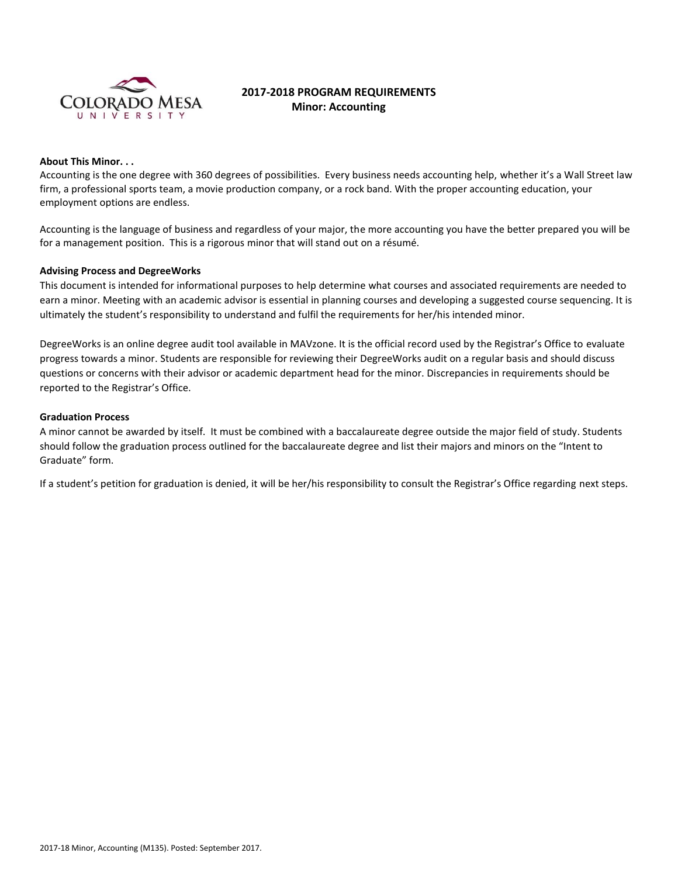

# **2017-2018 PROGRAM REQUIREMENTS Minor: Accounting**

#### **About This Minor. . .**

Accounting is the one degree with 360 degrees of possibilities. Every business needs accounting help, whether it's a Wall Street law firm, a professional sports team, a movie production company, or a rock band. With the proper accounting education, your employment options are endless.

Accounting is the language of business and regardless of your major, the more accounting you have the better prepared you will be for a management position. This is a rigorous minor that will stand out on a résumé.

#### **Advising Process and DegreeWorks**

This document is intended for informational purposes to help determine what courses and associated requirements are needed to earn a minor. Meeting with an academic advisor is essential in planning courses and developing a suggested course sequencing. It is ultimately the student's responsibility to understand and fulfil the requirements for her/his intended minor.

DegreeWorks is an online degree audit tool available in MAVzone. It is the official record used by the Registrar's Office to evaluate progress towards a minor. Students are responsible for reviewing their DegreeWorks audit on a regular basis and should discuss questions or concerns with their advisor or academic department head for the minor. Discrepancies in requirements should be reported to the Registrar's Office.

#### **Graduation Process**

A minor cannot be awarded by itself. It must be combined with a baccalaureate degree outside the major field of study. Students should follow the graduation process outlined for the baccalaureate degree and list their majors and minors on the "Intent to Graduate" form.

If a student's petition for graduation is denied, it will be her/his responsibility to consult the Registrar's Office regarding next steps.